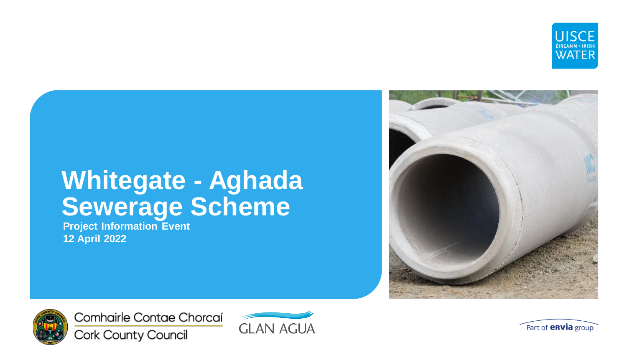

**Project Information Event 12 April 2022**





Comhairle Contae Chorcaí Cork County Council



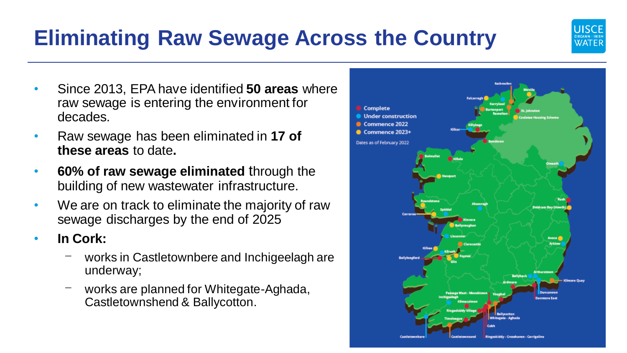## **Eliminating Raw Sewage Across the Country**

- Since 2013, EPA have identified **50 areas** where raw sewage is entering the environment for decades.
- Raw sewage has been eliminated in **17 of these areas** to date**.**
- **60% of raw sewage eliminated** through the building of new wastewater infrastructure.
- We are on track to eliminate the majority of raw sewage discharges by the end of 2025
- **In Cork:**
	- works in Castletownbere and Inchigeelagh are underway;
	- works are planned for Whitegate-Aghada, Castletownshend & Ballycotton.



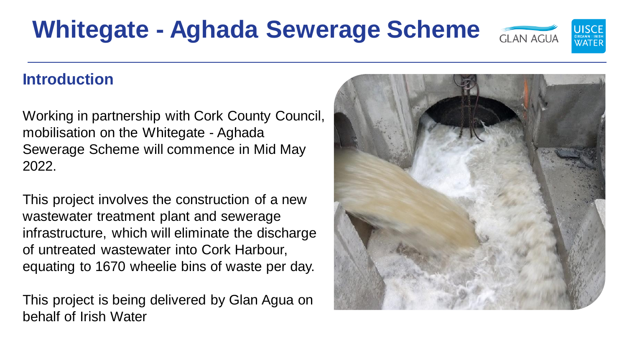## **Introduction**

Working in partnership with Cork County Council, mobilisation on the Whitegate - Aghada Sewerage Scheme will commence in Mid May 2022.

This project involves the construction of a new wastewater treatment plant and sewerage infrastructure, which will eliminate the discharge of untreated wastewater into Cork Harbour, equating to 1670 wheelie bins of waste per day.

This project is being delivered by Glan Agua on behalf of Irish Water



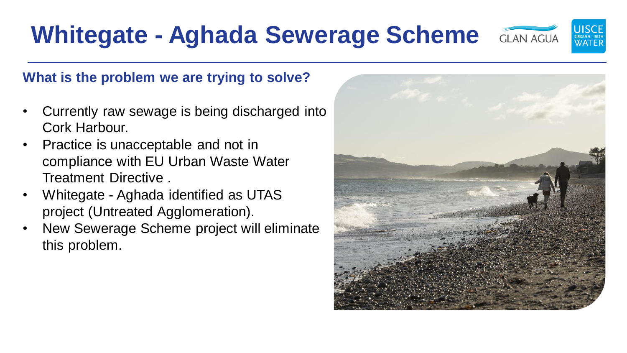### **What is the problem we are trying to solve?**

- Currently raw sewage is being discharged into Cork Harbour.
- Practice is unacceptable and not in compliance with EU Urban Waste Water Treatment Directive .
- Whitegate Aghada identified as UTAS project (Untreated Agglomeration).
- New Sewerage Scheme project will eliminate this problem.



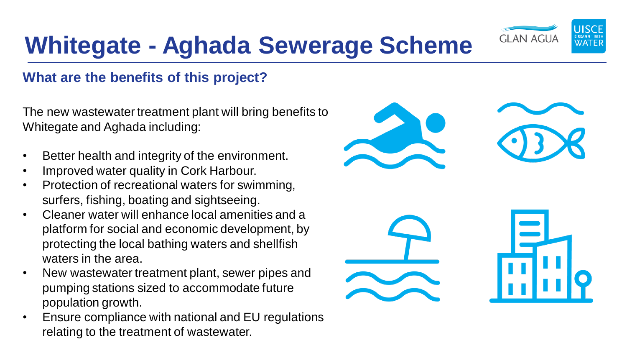

#### **What are the benefits of this project?**

The new wastewater treatment plant will bring benefits to Whitegate and Aghada including:

- Better health and integrity of the environment.
- Improved water quality in Cork Harbour.
- Protection of recreational waters for swimming, surfers, fishing, boating and sightseeing.
- Cleaner water will enhance local amenities and a platform for social and economic development, by protecting the local bathing waters and shellfish waters in the area.
- New wastewater treatment plant, sewer pipes and pumping stations sized to accommodate future population growth.
- Ensure compliance with national and EU regulations relating to the treatment of wastewater.

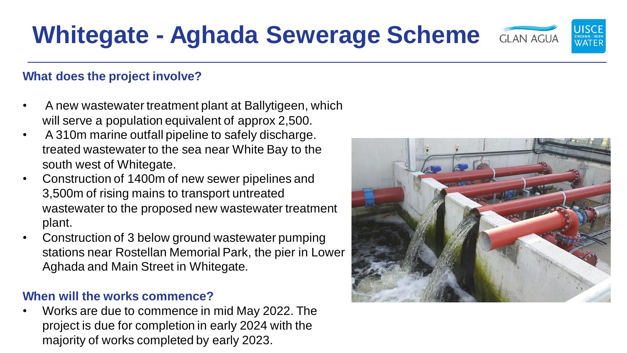#### **What does the project involve?**

- A new wastewater treatment plant at Ballytigeen, which will serve a population equivalent of approx 2,500.
- A 310m marine outfall pipeline to safely discharge. treated wastewater to the sea near White Bay to the south west of Whitegate.
- Construction of 1400m of new sewer pipelines and 3,500m of rising mains to transport untreated wastewater to the proposed new wastewater treatment plant.
- Construction of 3 below ground wastewater pumping stations near Rostellan Memorial Park, the pier in Lower Aghada and Main Street in Whitegate.

#### **When will the works commence?**

• Works are due to commence in mid May 2022. The project is due for completion in early 2024 with the majority of works completed by early 2023.



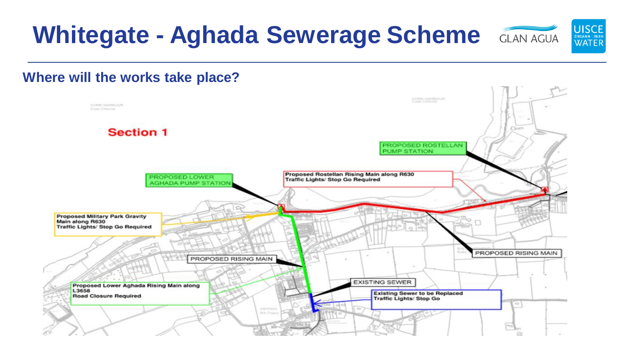

#### **Where will the works take place?**

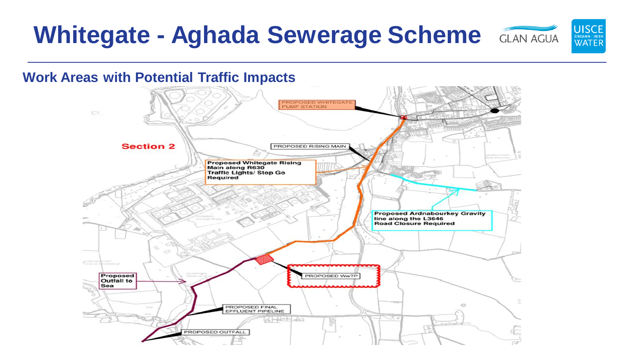## **Whitegate - Aghada Sewerage Scheme** GLAN AGUA



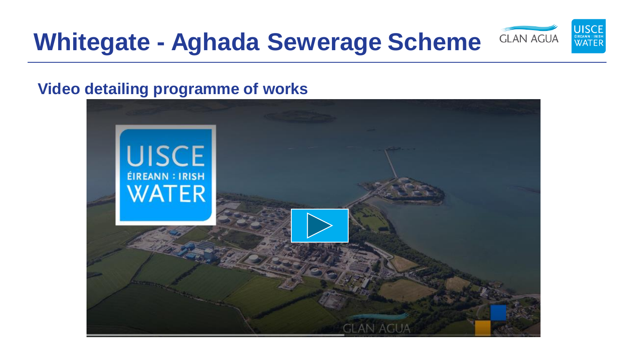

## **Video detailing programme of works**

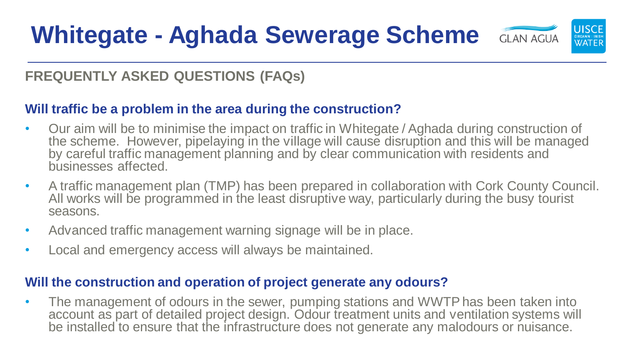

## **FREQUENTLY ASKED QUESTIONS (FAQs)**

### **Will traffic be a problem in the area during the construction?**

- Our aim will be to minimise the impact on traffic in Whitegate / Aghada during construction of the scheme. However, pipelaying in the village will cause disruption and this will be managed by careful traffic management planning and by clear communication with residents and businesses affected.
- A traffic management plan (TMP) has been prepared in collaboration with Cork County Council. All works will be programmed in the least disruptive way, particularly during the busy tourist seasons.
- Advanced traffic management warning signage will be in place.
- Local and emergency access will always be maintained.

#### **Will the construction and operation of project generate any odours?**

The management of odours in the sewer, pumping stations and WWTP has been taken into account as part of detailed project design. Odour treatment units and ventilation systems will be installed to ensure that the infrastructure does not generate any malodours or nuisance.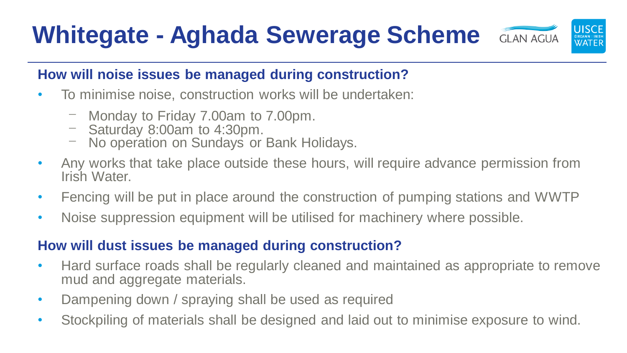

### **How will noise issues be managed during construction?**

- To minimise noise, construction works will be undertaken:
	- ⎻ Monday to Friday 7.00am to 7.00pm.
	- ⎻ Saturday 8:00am to 4:30pm.
	- ⎻ No operation on Sundays or Bank Holidays.
- Any works that take place outside these hours, will require advance permission from Irish Water.
- Fencing will be put in place around the construction of pumping stations and WWTP
- Noise suppression equipment will be utilised for machinery where possible.

### **How will dust issues be managed during construction?**

- Hard surface roads shall be regularly cleaned and maintained as appropriate to remove mud and aggregate materials.
- Dampening down / spraying shall be used as required
- Stockpiling of materials shall be designed and laid out to minimise exposure to wind.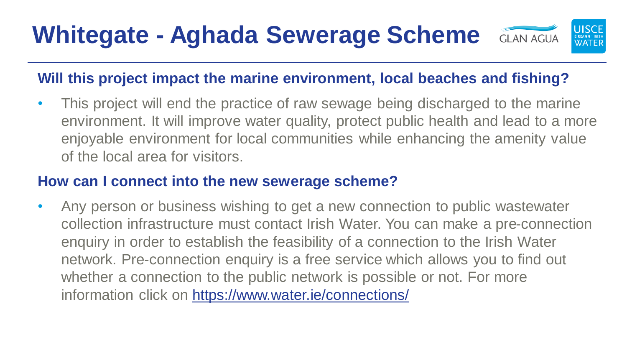

## **Will this project impact the marine environment, local beaches and fishing?**

• This project will end the practice of raw sewage being discharged to the marine environment. It will improve water quality, protect public health and lead to a more enjoyable environment for local communities while enhancing the amenity value of the local area for visitors.

### **How can I connect into the new sewerage scheme?**

• Any person or business wishing to get a new connection to public wastewater collection infrastructure must contact Irish Water. You can make a pre-connection enquiry in order to establish the feasibility of a connection to the Irish Water network. Pre-connection enquiry is a free service which allows you to find out whether a connection to the public network is possible or not. For more information click on<https://www.water.ie/connections/>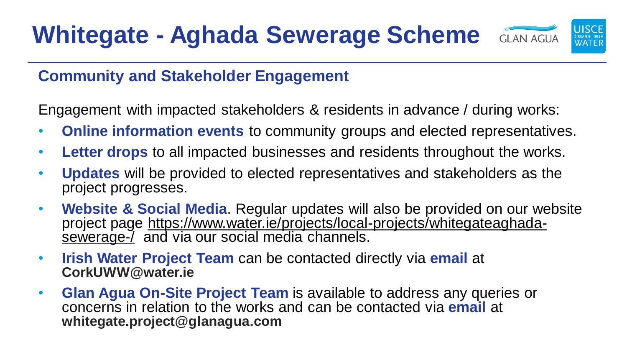

## **Community and Stakeholder Engagement**

Engagement with impacted stakeholders & residents in advance / during works:

- **Online information events** to community groups and elected representatives.
- **Letter drops** to all impacted businesses and residents throughout the works.
- **Updates** will be provided to elected representatives and stakeholders as the project progresses.
- **Website & Social Media**. Regular updates will also be provided on our website [project page https://www.water.ie/projects/local-projects/whitegateaghada](https://www.water.ie/projects/local-projects/whitegateaghada-sewerage-/)sewerage-/ and via our social media channels.
- **Irish Water Project Team** can be contacted directly via **email** at **CorkUWW@water.ie**
- **Glan Agua On-Site Project Team** is available to address any queries or concerns in relation to the works and can be contacted via **email** at **whitegate.project@glanagua.com**